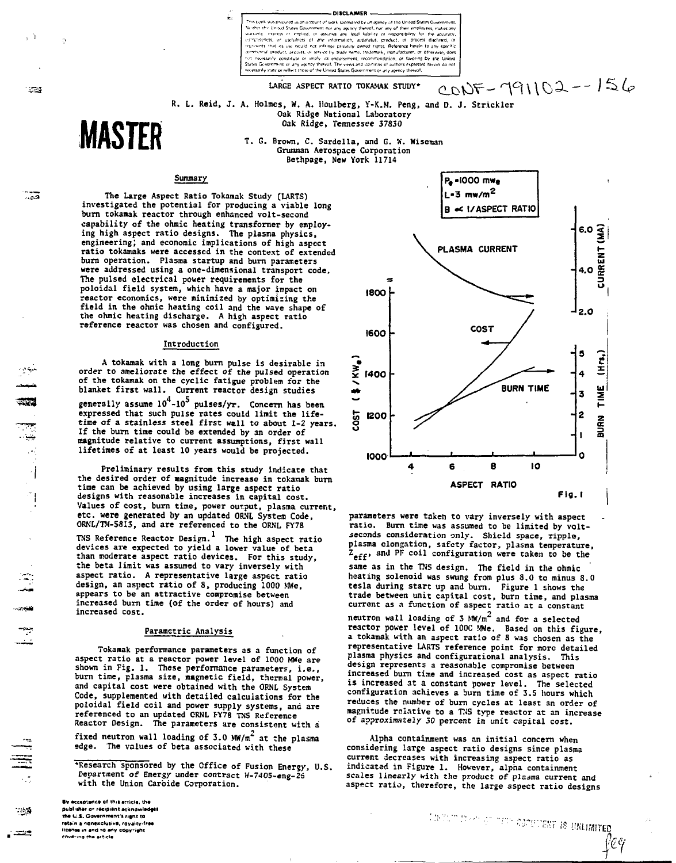.<br>Disci Amerik

 $\psi$ t necessitiv constitute or imply its endorsement, recommendation, received the book with the drip aspiring interest, the seeing and comment or any agency thereof.

**LARGE ASPECT RATIO TOKAMAK STUDY\* - n<sup>e</sup> i\\o^-- ^-^^**

$$
20NF - 791102 - 156
$$

R. L. Reid, J. A. Holmes, W. A. Houlberg, Y-K.M. Peng, and D. J. Strickler<br>Oak Ridge National Laboratory **Oak Ridge, Tennessee 37830**

> **T. G. Brown, C. Sardella, and G. W. Wiseman Grununan Aerospace Corporation Bethpage, New York 11714**

# Summary

**MASTER**

 $\sim$  3

ಿತ

्ट्रद

.<br>الموارد:

سمہ<br>س

- 29

<u>, al</u>

 $\bar{D}$ 

**The Large Aspect Ratio Tokanak Study (LARTS) investigated the potential for producing a viable long burn tokanak reactor through enhsnced volt-second capability of the ohmic heating transformer by employing high aspect ratio designs. The plasma physics, engineering; and economic implications of high aspect ratio tokamaks were accessed in the context of extended burn operation. Plasma startup and burn parameters were addressed using a one-dimensional transport code. The pulsed electrical power requirements for the poloidal field system, which have a major impact on reactor economics, were minimized by optimizing the field in the ohnic heating coil and the wave shape of the ohmic heating discharge. A high aspect ratio reference reactor was chosen and configured.**

Ļ.

### **Introduction**

**A tokamak with a long burn pulse is desirable in order to ameliorate the effect of the pulsed operation of the tokamak on the cyclic fatigue problem for the blanket first wall. Current reactor design studies** generally assume  $10^4$ -10<sup>5</sup> pulses/yr. Concern has been **expressed that such pulse rates could limit the lifetime of a stainless steel first will to about 1-2 years. If the burn time could be extended by an order of magnitude relative to current assumptions, first wall lifetimes of at least 10 years would be projected.**

**Preliminary results from this study indicate that the desired order of magnitude increase in tokamak burn time can be achieved by using large aspect ratio designs with reasonable increases in capital cost. Values of cost, burn time, power output, plasma current, etc. were generated by an updated ORNL System Code, ORNL/TM-5813, and are referenced to the ORNL FY78**

**TNS Reference Reactor Design. The high aspect ratio devices are expected to yield a lower value of beta than moderate aspect ratio devices. For this study, the beta limit was assumed to vary inversely with aspect ratio. A representative large aspect ratio design, an aspect ratio of 8, producing 1000 MWe, appears to be an attractive compromise between increased burn time (of the order of hours) and increased cost.**

## **Parametric Analysis**

**Tokamak performance parameters as a function of aspect ratio at a reactor power level of 1000 MWe are shown in Fig. 1. These performance parameters, i.e., burn tine, plasma size, magnetic field, thermal power, and capital cost were obtained with the ORNL System Code, supplemented with detailed calculations for the poloidal field coil and power supply systems, and are referenced to an updated ORNL FY78 TNS Reference Reactor Design. The parameters are consistent with a**

**fixed neutron wall loading of 3.0 MW/m' at the plasma edge. The values of beta associated with these**

**'Research sponsored by the Office of Fusion Energy, U.S. Department of Energy under contract W-7405-eng-26 with the Union Carbide Corporation.**

**•v Kcipanct at th.i »;Tid«. th»** publ<sup>1</sup>sher or recipient acknowledge **tno l.S. Gwv««m«nri n(.u to retain a nonexclusive, royalty-free licante in and to any copyright**<br>covering the article



**parameters were taken to vary inversely with aspect ratio. Burn time was assumed to be limited by voltseconds consideration only. Shield space, ripple, plasma elongation, safety factor, plasma temperature,**  $Z_{\text{eff}}$ , and PF coil configuration were taken to be the **same as in the TNS design. The field in the ohmic heating solenoid was swung from plus 8.0 to minus 8.0 tesla during start up and burn. Figure 1 shows the trade between unit capital cost, burn time, and plasma current as a function of aspect ratio at a constant neutron wall loading of 3 MW/m2 and for a selected Teactor power level of 100C MWe. Based on this figure, a tokamak with an aspect ratio of 8 was chosen as the representative LARTS reference point for more detailed plasma physics and configurational analysis. This design represents a reasonable compromise between increased burn time and increased cost as aspect ratio is increased at a constant power level. The selected configuration achieves a burn time of 3.S hours which** reduces the number of burn cycles at least an order of **magnitude relative to a TNS type reactor at an increase of approximately 30 percent in unit capital cost.**

**Alpha containment was an initial concern when considering iaTge aspect ratio designs since plasma current decreases with increasing aspect ratio as indicated in Figure 1. However, alpha containment scales linearly with the product of plasma current and aspect ratio, therefore, the large aspect ratio designs**

CONTECT DEPTED THE ROCKLINES ON ONLINEER

feg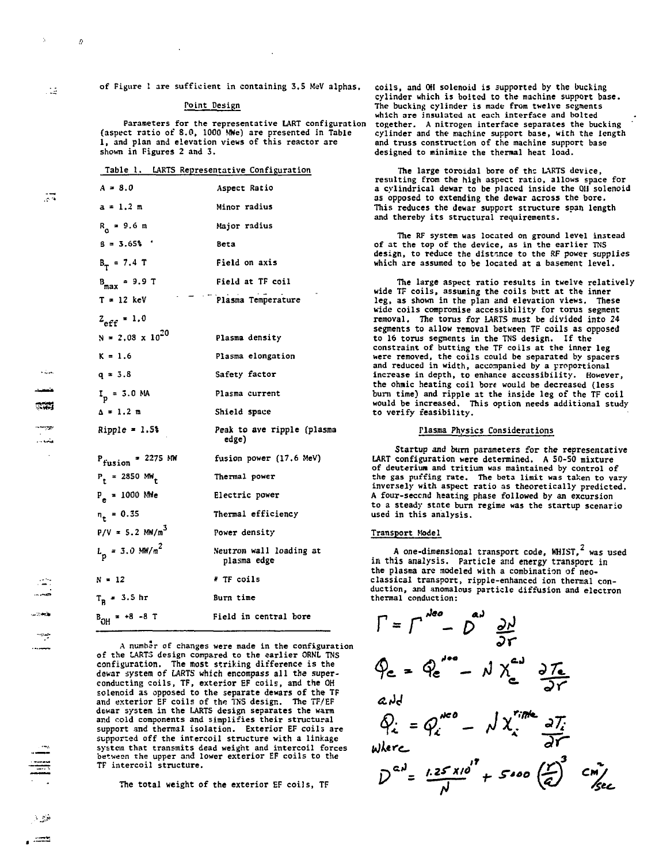**of Figure 1 are sufficient in containing 3.5 MeV alphas.**

## **Point Design**

**Parameters for the representative LART configuration (aspect ratio of 8.0, 1000 MWe) are presented in Table 1, and plan and elevation views of this reactor are shown in Figures 2 and 3.**

| Table 1. | LARTS Representative Configuration |  |
|----------|------------------------------------|--|
|          |                                    |  |

| $A = 8.0$                    | Aspect Ratio                           |
|------------------------------|----------------------------------------|
| $a = 1.2 m$                  | Minor radius                           |
| $R_{0} = 9.6$ m              | Major radius                           |
| $3 = 3.65$ ;                 | <b>Beta</b>                            |
| $B_T = 7.4 T$                | Field on axis                          |
| $B_{max}$ = 9.9 T            | Field at TF coil                       |
| $T = 12$ keV                 | Plasma Temperature                     |
| $Z_{\text{eff}} = 1.0$       |                                        |
| $N = 2.08 \times 10^{20}$    | Plasma density                         |
| $K = 1.6$                    | Plasma elongation                      |
| $q = 3.8$                    | Safety factor                          |
| $I_p = 3.0 M_A$              | Plasma current                         |
| $\Delta = 1.2$ m             | Shield space                           |
| $Ripple = 1.5%$              | Peak to ave ripple (plasma<br>edge)    |
| $P_{fusion} = 2275$ MW       | fusion power (17.6 MeV)                |
| $P_r = 2850$ MW <sub>r</sub> | Thermal power                          |
| $P_a = 1000$ Mile            | Electric power                         |
| $n_{\ast} = 0.35$            | Thermal efficiency                     |
| $P/V = 5.2 MW/m3$            | Power density                          |
| $L_p = 3.0 \text{ MW/m}^2$   | Neutron wall loading at<br>plasma edge |
| $N = 12$                     | # TF coils                             |
| $T_R$ = 3.5 hr               | Burn time                              |
| $B_{OH}$ = +8 -8 T           | Field in central bore                  |

**A numb'r of changes were made in the configuration of the LARTS design compared to the earlier ORNL TNS configuration. The most striking difference is the dewar system of LARTS which encompass all the superconducting coils, TF, exterior EF coils, and the OH solenoid as opposed to the separate dewars of the TF and exterior EF coils of the TNS design. The TF/EF dewar system in the LARTS design separates the warm** and cold components and simplifies their structural **support and thermal isolation. Exterior EF coils are supported off the intercoil structure with a linkage system that transmits dead weight and intercoil forces**<br>between the upper and lower exterior EF coils to the **TF intercoil structure.**

**The total weight of the exterior EF coils, TF**

**coils, and Oil solenoid is supported by the bucking cylinder which is bolted to the machine support base. The bucking cylinder is made from twelve segments which are insulated at each interface and bolted together. A nitrogen interface separates the bucking cylinder and the machine support base, with the length and truss construction of the machine support base designed to minimize the thermal heat load.**

**The large toroidal bore of the LARTS device, resulting from the high aspect ratio, allows space for a cylindrical dewar to be placed inside the OH solenoid as opposed to extending the dewar across the bore. This reduces the dewar support structure span length and thereby its structural requirements.**

**The RF system was located on ground level instead of at the top of the device, as in the earlier TNS design, to reduce the distance to the RF power supplies which are assumed to be located at a basement level.**

**The large aspect ratio results in twelve relatively wide TF coils, assuming the coils butt at the inner leg, as shown in the plan and elevation views. These wide coils compromise accessibility for torus segment removal. The torus for LARTS must be divided into 24 segments to allow removal between TF coils as opposed to 16 torus segments in the TNS design. If the constraint of butting the TF coils at the inner leg were removed, the coils could be separated by spacers and reduced in width, accompanied by a proportional increase in depth, to enhance accessibility. However, the ohmic heating coil bore would be decreased (less burn time) and ripple at the inside leg of the TF coil would be increased. This option needs additional study to verify feasibility.**

### **Plasma Physics Considerations**

**Startup and burn parameters for the representative LART configuration were determined. A 50-50 mixture of deuterium and tritium was maintained by control of the gas puffing rate. The beta limit was taken to vary inversely with aspect ratio as theoretically predicted. A four-secend heating phase followed by an excursion to a steady state burn regime was the startup scenario used in this analysis.**

#### **Transport Model**

**A one-dimensional transport code, KHIST,^ was used in this analysis. Particle and energy transport in the plasma are modeled with a combination of neoclassical transport, ripple-enhanced ion thermal conduction, and anomalous particle diffusion and electron thermal conduction:**

$$
\Gamma = \Gamma^{Aee} - D^{aJ} \frac{\partial N}{\partial r}
$$
\n
$$
\Phi_{ce} = \Phi_{ce}^{Aee} - N X_{ce}^{aJ} \frac{\partial T_{ce}}{\partial r}
$$
\n
$$
aJd
$$
\n
$$
\Phi_{c} = \Phi_{c}^{Aee} - N X_{c}^{rime} \frac{\partial T_{c}}{\partial r}
$$
\nwhere\n
$$
D^{aJ} = \frac{1.25 \times 10^{17}}{N} + 5000 \left(\frac{r}{e}\right)^{3} \frac{cm}{sec}
$$

 $\pm$ 

 $\overline{15}$ 

 $\epsilon_{\rm c}$ 

b.

ಾದ رسمين

لمرتب

جدیہ۔<br>م

3.89 ھت ،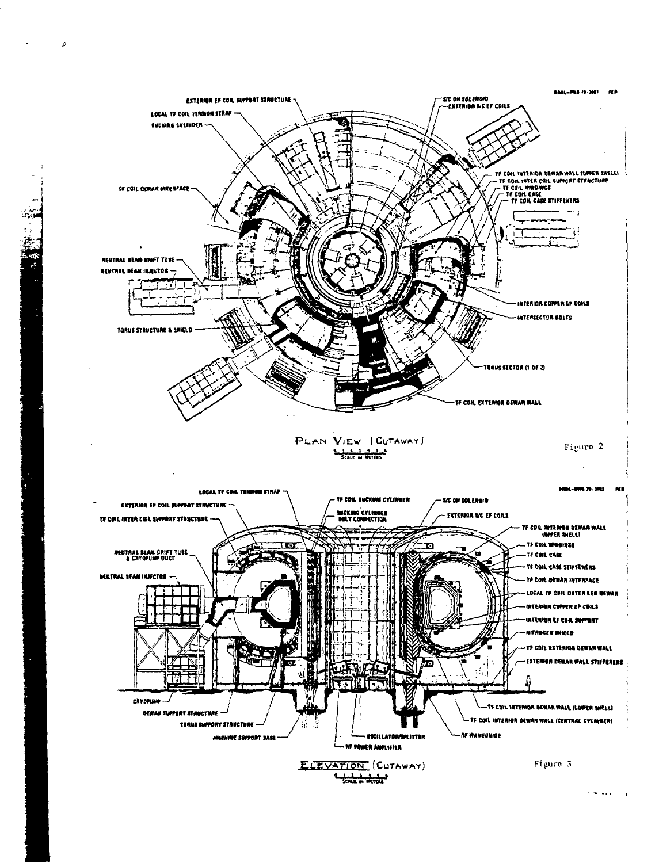

b.

 $\mathbf{r}$ 

 $\left\{ \frac{1}{2}, \frac{1}{2}, \frac{1}{2}, \ldots, \frac{1}{2} \right\}$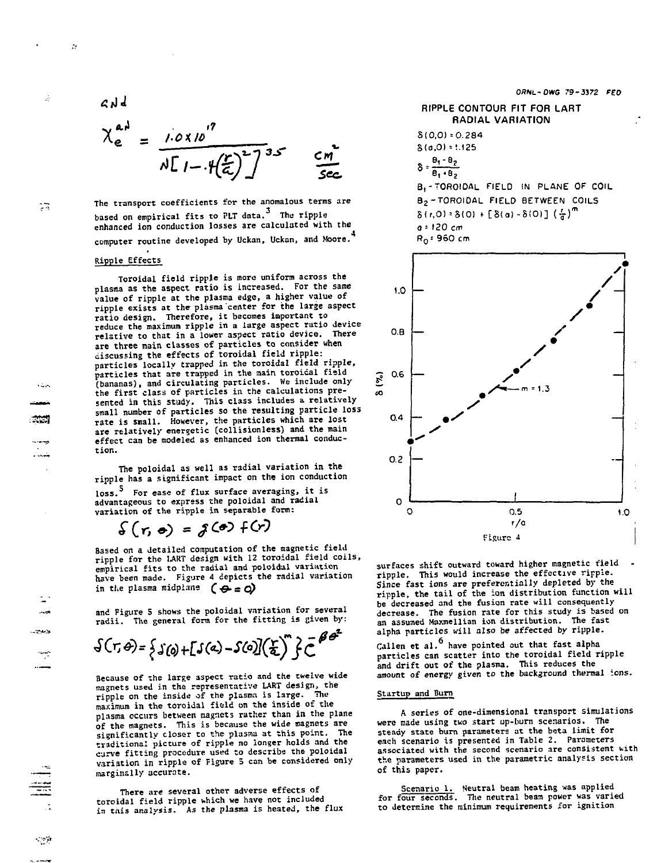$$
\mathcal{L} \vee \mathcal{L}
$$

 $\mathcal{D}$ 

Ŵ

Ţ3

ಸಪ

$$
\chi_{e}^{aA} = \frac{1.0 \times 10^{17}}{\sqrt{11 - \left(\frac{r}{c}\right)^{2}} \sqrt{35}} \frac{cm}{scc}
$$

**The transport coefficients for the anomalous terms are based on empirical fits to PLT data. The ripple enhanced ion conduction losses are calculated with the computer routine developed by Uckan, Uckan, and Moore.**

# **Ripple Effects**

**Toroidal field ripple is more uniform across the plasma as the aspect ratio is increased. For the same value of ripple at the plasma edge, a higher value of ripple exists at the plasma center for the large aspect ratio design. Therefore, it becomes important to reduce the maximum ripple in a large aspect ratio device** relative to that in a lower aspect ratio device. **are three main classes of particles to consider when discussing the effects of toroidal field ripple: particles locally trapped in the toroidal field ripple, particles that are trapped in the main toroidal field (bananas), and circulating particles. We include only the first class of particles in the calculations presented in this study. This class includes a relatively small number of particles so the resulting particle loss rate is small. However, the particles which are lost are relatively energetic (collisionless) and the main effect can be modeled as enhanced ion thermal conduction.**

**The poloidal as well as r3dial variation in the ripple has a significant impact on the ion conduction loss.<sup>S</sup> For ease of flux surface averaging, it is advantageous to express the poloidal and radial variation of the ripple in separable form:**

 $\mathcal{S}(r, \phi) = \mathcal{S}(r) + (r)$ 

**Based on a detailed computation of the magnetic field ripple for the TART design with 12 toroidal field coils, empirical fits to the radial and poloidal variation** have been made. Figure 4 depicts the radial variation in the plasma midplane  $(\Leftrightarrow \pm \Delta)$ 

**and Figure 5 shows the poloidal variation for several radii. The general form for the fitting is given by:**

 $\mathcal{S}(\tau,\theta) = \frac{1}{2} \mathcal{S}(\theta) + \mathcal{S}(\theta) - \mathcal{S}(\theta) \left( \frac{\tau}{2} \right)^n \mathcal{S} \mathcal{L}^{\theta}$ 

**Because of the large aspect ratio and the twelve wide magnets used in the representative LART design, the ripple on the inside of the plasma is large. The maximum in the toroidal field on the inside of the plasma occurs between magnets rather than in the plane of the magnets. This is because the wide magnets are significantly closer to the plasma at this point. The traditional picture of ripple no ionger holds and the curve fitting procedure used to describe the poloidal variation in ripple of Figure 5 can be considered only marginally accurate.**

**There are several other adverse effects of toroidal field ripple which we have not included in this analysis. As the plasma is heated, the flux** **OSNL-OWC 79-3372**

## **RIPPLE CONTOUR FIT FOR LART RADIAL VARIATION**

8(0,0) = 0.284  
\n8(a,0) = 1.125  
\n
$$
\delta = \frac{\theta_1 - \theta_2}{\theta_1 + \theta_2}
$$
\n
$$
B_1 = \text{TOROIDAL FIELD IN PLANE OF COLLE}
$$
\n
$$
B_2 = \text{TOROIDAL FIELD BETWEEN COILS}
$$
\n
$$
8(r,0) = 8(0) + [8(a) - 8(0)] (\frac{r}{d})^m
$$
\n
$$
a = 120 \text{ cm}
$$
\n
$$
R_0 = 960 \text{ cm}
$$



surfaces shift outward toward higher magnetic field **ripple. This would increase the effective ripple. Since fast ions are preferentially depleted by the ripple, the tail of the ion distribution function will be decreased and the fusion rate will consequently decrease. The fusion rate for this study is based on an assumed Maxmellian ion distribution. The fast alpha particles will also be affected by ripple.**

**Callen et al.<sup>6</sup> have pointed out that fast alpha particles can scatter into the toroidal field ripple and drift out of the plasma. This reduces the amount of energy given to the background thermal ions.**

### **Startup and Burn**

**A series of one-dimensional transport simulations were made using two start up-burn scenarios. The steady state burn parameters at the beta limit for each scenario is presented in Table 2. Parameters associated with the second scenario are consistent with the parameters used in the parametric analysis section of this paper.**

**Scenario 1. Neutral beam heating was applied for four seconds. The neutral beam power was varied to determine the minimum requirements for ignition**

 $\sim 2.3$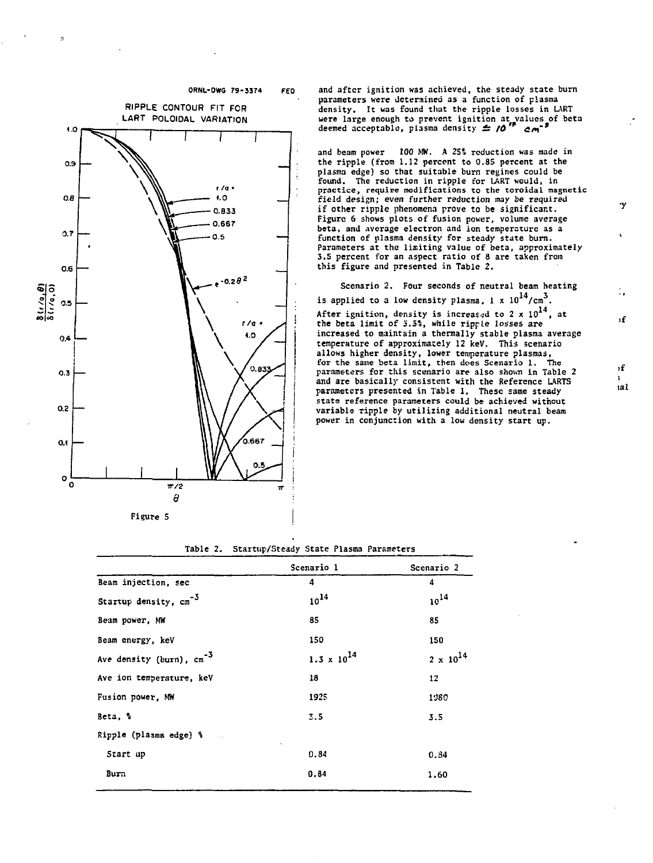

 $\mathbf{r}_i$ 

**Figure 5**

**ORNL-OWO 79-3374 FED**

**and after ignition was achieved, the steady state burn parameters were determined as a function of plasma density. It was found that the ripple losses in LART were large enough to prevent ignition at values of beta deemed acceptable, plasma density £: /6>f c/i~<sup>r</sup>**

**and beam power 100 MW. A 2S% reduction was made in the ripple (from 1.12 percent to 0.85 percent at the plasma edge) so that suitable burn regimes could be found. The reduction in ripple for LART would, in practice, require modifications to the toroidal magnetic field design; even further reduction may be required if other ripple phenomena prove to be significant. Figure 6 shows plots of fusion power, volume average beta, and average electron and ion temperature as a function of plasma density for steady state burn. Parameters at the limiting value of beta, approximately 3.5 percent for an aspect ratio of 8 are taken from this figure and presented in Table 2.**

**Scenario 2. Four seconds of neutral beam heating** is applied to a low density plasma,  $1 \times 10^{14} / \text{cm}^3$ . After ignition, density is increased to 2 x 10<sup>2</sup>, at<br>the beta limit of 3.5%, while ripp*le losses are* **increased to maintain a thermally stable plasma average temperature of approximately 12 keV. This scenario allows higher density, lower temperature plasmas, for the same beta limit, then does Scenario 1. The parameters for this scenario are also shown in Table 2 and are basically consistent with the Reference LARTS parameters presented in Table 1. These same steady state reference parameters could be achieved without variable ripple by utilizing additional neutral beam power in conjunction with a low density start up.**

**1.60**

**-3 Ave density (burn), cm' Beam injection, sec Startup density, cm Beam power, MW Beam energy, keV Ave ion temperature, keV Fusion power, MW Beta, % Ripple (plasma edge) % Start up B u m Scenario 1 4**  $10^{14}$ **85 150**  $1.3 \times 10^{14}$ **18 1925 3.5 0.84 0.84 Scenario 2 4 10<sup>1</sup> <sup>4</sup> 85 150**  $2 \times 10^{14}$ **12 1380 3.5 0.34**

**Table 2. Startup/Steady State Plasma Parameters**

**>f**

٠y

**)f lal**